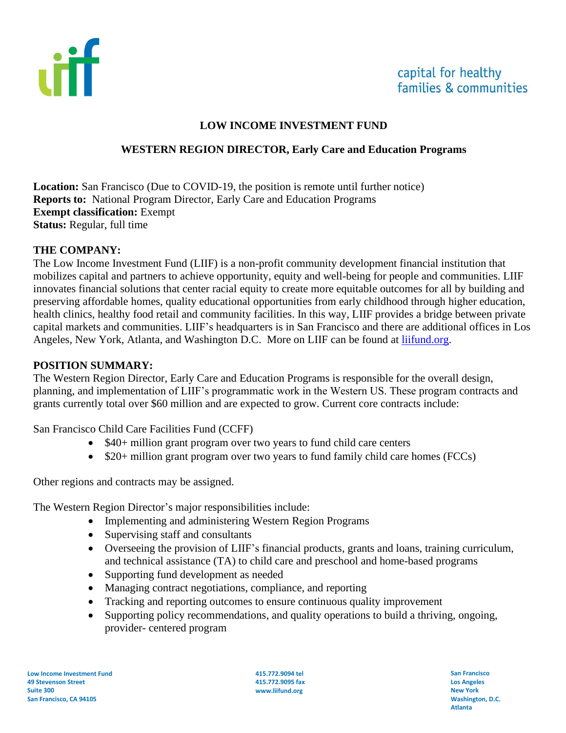

### **LOW INCOME INVESTMENT FUND**

#### **WESTERN REGION DIRECTOR, Early Care and Education Programs**

**Location:** San Francisco (Due to COVID-19, the position is remote until further notice) **Reports to:** National Program Director, Early Care and Education Programs **Exempt classification:** Exempt **Status:** Regular, full time

#### **THE COMPANY:**

The Low Income Investment Fund (LIIF) is a non-profit community development financial institution that mobilizes capital and partners to achieve opportunity, equity and well-being for people and communities. LIIF innovates financial solutions that center racial equity to create more equitable outcomes for all by building and preserving affordable homes, quality educational opportunities from early childhood through higher education, health clinics, healthy food retail and community facilities. In this way, LIIF provides a bridge between private capital markets and communities. LIIF's headquarters is in San Francisco and there are additional offices in Los Angeles, New York, Atlanta, and Washington D.C. More on LIIF can be found at *liifund.org*.

#### **POSITION SUMMARY:**

The Western Region Director, Early Care and Education Programs is responsible for the overall design, planning, and implementation of LIIF's programmatic work in the Western US. These program contracts and grants currently total over \$60 million and are expected to grow. Current core contracts include:

San Francisco Child Care Facilities Fund (CCFF)

- \$40+ million grant program over two years to fund child care centers
- \$20+ million grant program over two years to fund family child care homes (FCCs)

Other regions and contracts may be assigned.

The Western Region Director's major responsibilities include:

- Implementing and administering Western Region Programs
- Supervising staff and consultants
- Overseeing the provision of LIIF's financial products, grants and loans, training curriculum, and technical assistance (TA) to child care and preschool and home-based programs
- Supporting fund development as needed
- Managing contract negotiations, compliance, and reporting
- Tracking and reporting outcomes to ensure continuous quality improvement
- Supporting policy recommendations, and quality operations to build a thriving, ongoing, provider- centered program

**415.772.9094 tel 415.772.9095 fax www.liifund.org**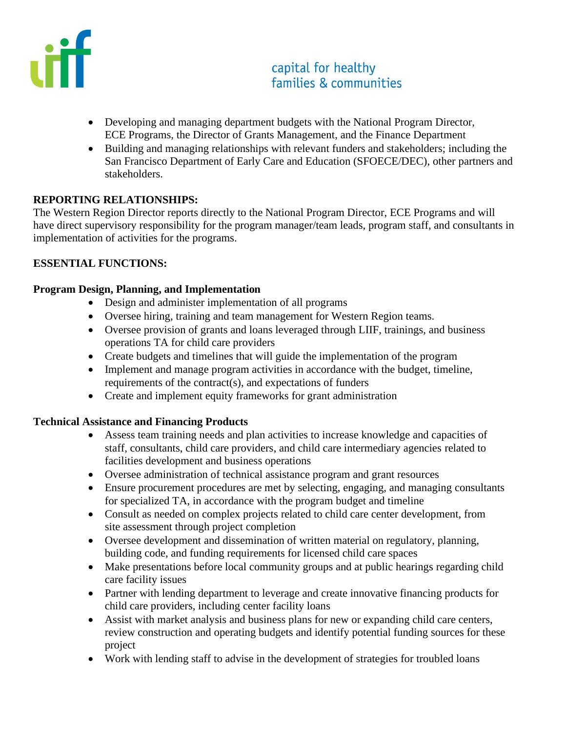

# capital for healthy families & communities

- Developing and managing department budgets with the National Program Director, ECE Programs, the Director of Grants Management, and the Finance Department
- Building and managing relationships with relevant funders and stakeholders; including the San Francisco Department of Early Care and Education (SFOECE/DEC), other partners and stakeholders.

### **REPORTING RELATIONSHIPS:**

The Western Region Director reports directly to the National Program Director, ECE Programs and will have direct supervisory responsibility for the program manager/team leads, program staff, and consultants in implementation of activities for the programs.

### **ESSENTIAL FUNCTIONS:**

#### **Program Design, Planning, and Implementation**

- Design and administer implementation of all programs
- Oversee hiring, training and team management for Western Region teams.
- Oversee provision of grants and loans leveraged through LIIF, trainings, and business operations TA for child care providers
- Create budgets and timelines that will guide the implementation of the program
- Implement and manage program activities in accordance with the budget, timeline, requirements of the contract(s), and expectations of funders
- Create and implement equity frameworks for grant administration

## **Technical Assistance and Financing Products**

- Assess team training needs and plan activities to increase knowledge and capacities of staff, consultants, child care providers, and child care intermediary agencies related to facilities development and business operations
- Oversee administration of technical assistance program and grant resources
- Ensure procurement procedures are met by selecting, engaging, and managing consultants for specialized TA, in accordance with the program budget and timeline
- Consult as needed on complex projects related to child care center development, from site assessment through project completion
- Oversee development and dissemination of written material on regulatory, planning, building code, and funding requirements for licensed child care spaces
- Make presentations before local community groups and at public hearings regarding child care facility issues
- Partner with lending department to leverage and create innovative financing products for child care providers, including center facility loans
- Assist with market analysis and business plans for new or expanding child care centers, review construction and operating budgets and identify potential funding sources for these project
- Work with lending staff to advise in the development of strategies for troubled loans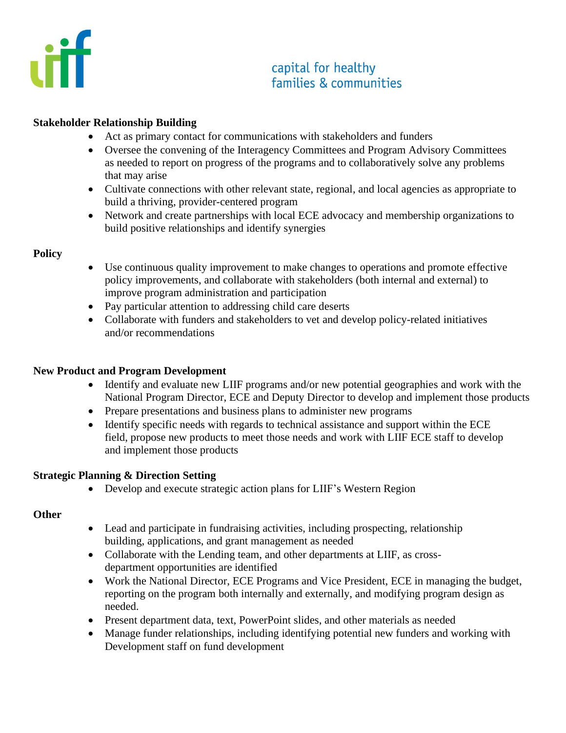

# capital for healthy families & communities

#### **Stakeholder Relationship Building**

- Act as primary contact for communications with stakeholders and funders
- Oversee the convening of the Interagency Committees and Program Advisory Committees as needed to report on progress of the programs and to collaboratively solve any problems that may arise
- Cultivate connections with other relevant state, regional, and local agencies as appropriate to build a thriving, provider-centered program
- Network and create partnerships with local ECE advocacy and membership organizations to build positive relationships and identify synergies

#### **Policy**

- Use continuous quality improvement to make changes to operations and promote effective policy improvements, and collaborate with stakeholders (both internal and external) to improve program administration and participation
- Pay particular attention to addressing child care deserts
- Collaborate with funders and stakeholders to vet and develop policy-related initiatives and/or recommendations

#### **New Product and Program Development**

- Identify and evaluate new LIIF programs and/or new potential geographies and work with the National Program Director, ECE and Deputy Director to develop and implement those products
- Prepare presentations and business plans to administer new programs
- Identify specific needs with regards to technical assistance and support within the ECE field, propose new products to meet those needs and work with LIIF ECE staff to develop and implement those products

#### **Strategic Planning & Direction Setting**

• Develop and execute strategic action plans for LIIF's Western Region

## **Other**

- Lead and participate in fundraising activities, including prospecting, relationship building, applications, and grant management as needed
- Collaborate with the Lending team, and other departments at LIIF, as crossdepartment opportunities are identified
- Work the National Director, ECE Programs and Vice President, ECE in managing the budget, reporting on the program both internally and externally, and modifying program design as needed.
- Present department data, text, PowerPoint slides, and other materials as needed
- Manage funder relationships, including identifying potential new funders and working with Development staff on fund development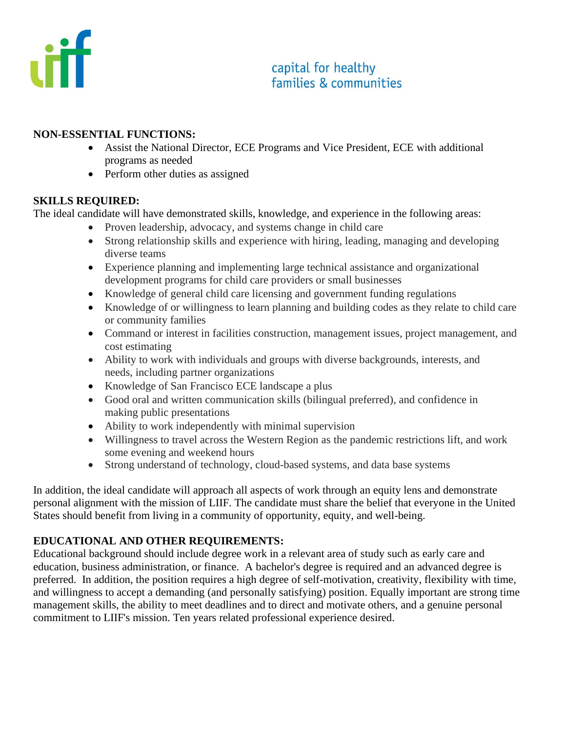

# capital for healthy families & communities

#### **NON-ESSENTIAL FUNCTIONS:**

- Assist the National Director, ECE Programs and Vice President, ECE with additional programs as needed
- Perform other duties as assigned

## **SKILLS REQUIRED:**

The ideal candidate will have demonstrated skills, knowledge, and experience in the following areas:

- Proven leadership, advocacy, and systems change in child care
- Strong relationship skills and experience with hiring, leading, managing and developing diverse teams
- Experience planning and implementing large technical assistance and organizational development programs for child care providers or small businesses
- Knowledge of general child care licensing and government funding regulations
- Knowledge of or willingness to learn planning and building codes as they relate to child care or community families
- Command or interest in facilities construction, management issues, project management, and cost estimating
- Ability to work with individuals and groups with diverse backgrounds, interests, and needs, including partner organizations
- Knowledge of San Francisco ECE landscape a plus
- Good oral and written communication skills (bilingual preferred), and confidence in making public presentations
- Ability to work independently with minimal supervision
- Willingness to travel across the Western Region as the pandemic restrictions lift, and work some evening and weekend hours
- Strong understand of technology, cloud-based systems, and data base systems

In addition, the ideal candidate will approach all aspects of work through an equity lens and demonstrate personal alignment with the mission of LIIF. The candidate must share the belief that everyone in the United States should benefit from living in a community of opportunity, equity, and well-being.

## **EDUCATIONAL AND OTHER REQUIREMENTS:**

Educational background should include degree work in a relevant area of study such as early care and education, business administration, or finance. A bachelor's degree is required and an advanced degree is preferred. In addition, the position requires a high degree of self-motivation, creativity, flexibility with time, and willingness to accept a demanding (and personally satisfying) position. Equally important are strong time management skills, the ability to meet deadlines and to direct and motivate others, and a genuine personal commitment to LIIF's mission. Ten years related professional experience desired.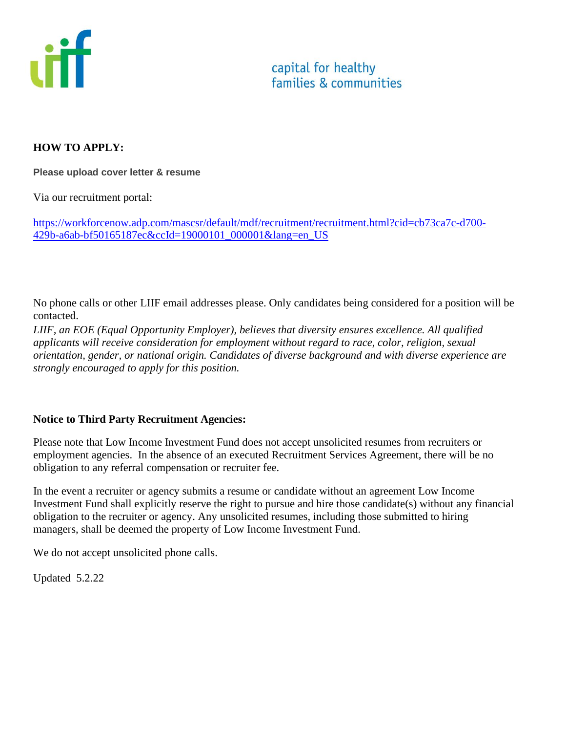

### **HOW TO APPLY:**

**Please upload cover letter & resume**

Via our recruitment portal:

[https://workforcenow.adp.com/mascsr/default/mdf/recruitment/recruitment.html?cid=cb73ca7c-d700-](https://workforcenow.adp.com/mascsr/default/mdf/recruitment/recruitment.html?cid=cb73ca7c-d700-429b-a6ab-bf50165187ec&ccId=19000101_000001&lang=en_US) [429b-a6ab-bf50165187ec&ccId=19000101\\_000001&lang=en\\_US](https://workforcenow.adp.com/mascsr/default/mdf/recruitment/recruitment.html?cid=cb73ca7c-d700-429b-a6ab-bf50165187ec&ccId=19000101_000001&lang=en_US)

No phone calls or other LIIF email addresses please. Only candidates being considered for a position will be contacted.

*LIIF, an EOE (Equal Opportunity Employer), believes that diversity ensures excellence. All qualified applicants will receive consideration for employment without regard to race, color, religion, sexual orientation, gender, or national origin. Candidates of diverse background and with diverse experience are strongly encouraged to apply for this position.*

#### **Notice to Third Party Recruitment Agencies:**

Please note that Low Income Investment Fund does not accept unsolicited resumes from recruiters or employment agencies. In the absence of an executed Recruitment Services Agreement, there will be no obligation to any referral compensation or recruiter fee.

In the event a recruiter or agency submits a resume or candidate without an agreement Low Income Investment Fund shall explicitly reserve the right to pursue and hire those candidate(s) without any financial obligation to the recruiter or agency. Any unsolicited resumes, including those submitted to hiring managers, shall be deemed the property of Low Income Investment Fund.

We do not accept unsolicited phone calls.

Updated 5.2.22